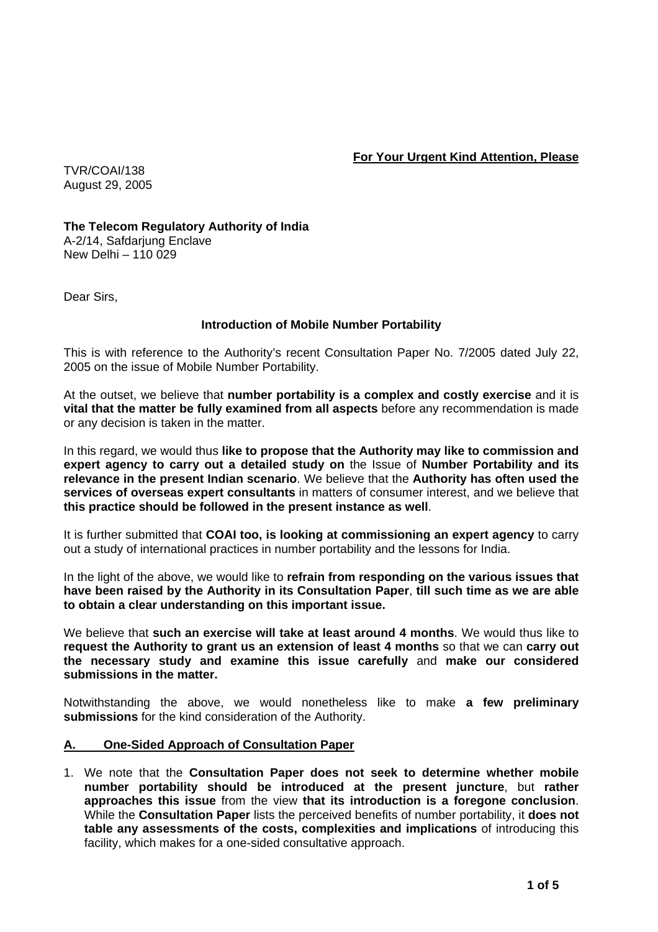**For Your Urgent Kind Attention, Please** 

TVR/COAI/138 August 29, 2005

**The Telecom Regulatory Authority of India**  A-2/14, Safdarjung Enclave New Delhi – 110 029

Dear Sirs,

# **Introduction of Mobile Number Portability**

This is with reference to the Authority's recent Consultation Paper No. 7/2005 dated July 22, 2005 on the issue of Mobile Number Portability.

At the outset, we believe that **number portability is a complex and costly exercise** and it is **vital that the matter be fully examined from all aspects** before any recommendation is made or any decision is taken in the matter.

In this regard, we would thus **like to propose that the Authority may like to commission and expert agency to carry out a detailed study on** the Issue of **Number Portability and its relevance in the present Indian scenario**. We believe that the **Authority has often used the services of overseas expert consultants** in matters of consumer interest, and we believe that **this practice should be followed in the present instance as well**.

It is further submitted that **COAI too, is looking at commissioning an expert agency** to carry out a study of international practices in number portability and the lessons for India.

In the light of the above, we would like to **refrain from responding on the various issues that have been raised by the Authority in its Consultation Paper**, **till such time as we are able to obtain a clear understanding on this important issue.** 

We believe that **such an exercise will take at least around 4 months**. We would thus like to **request the Authority to grant us an extension of least 4 months** so that we can **carry out the necessary study and examine this issue carefully** and **make our considered submissions in the matter.** 

Notwithstanding the above, we would nonetheless like to make **a few preliminary submissions** for the kind consideration of the Authority.

### **A. One-Sided Approach of Consultation Paper**

1. We note that the **Consultation Paper does not seek to determine whether mobile number portability should be introduced at the present juncture**, but **rather approaches this issue** from the view **that its introduction is a foregone conclusion**. While the **Consultation Paper** lists the perceived benefits of number portability, it **does not table any assessments of the costs, complexities and implications** of introducing this facility, which makes for a one-sided consultative approach.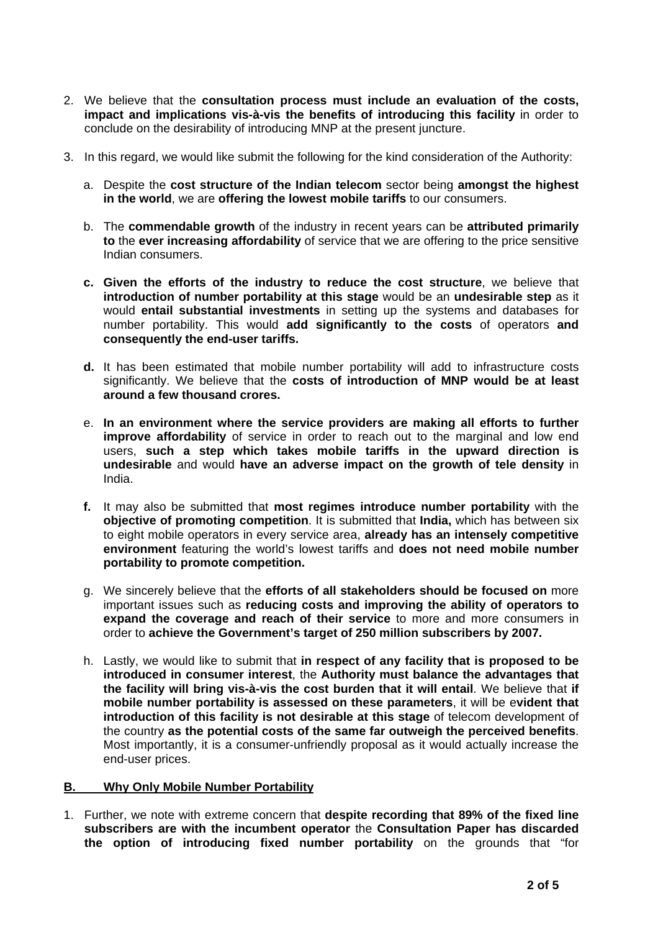- 2. We believe that the **consultation process must include an evaluation of the costs, impact and implications vis-à-vis the benefits of introducing this facility** in order to conclude on the desirability of introducing MNP at the present juncture.
- 3. In this regard, we would like submit the following for the kind consideration of the Authority:
	- a. Despite the **cost structure of the Indian telecom** sector being **amongst the highest in the world**, we are **offering the lowest mobile tariffs** to our consumers.
	- b. The **commendable growth** of the industry in recent years can be **attributed primarily to** the **ever increasing affordability** of service that we are offering to the price sensitive Indian consumers.
	- **c. Given the efforts of the industry to reduce the cost structure**, we believe that **introduction of number portability at this stage** would be an **undesirable step** as it would **entail substantial investments** in setting up the systems and databases for number portability. This would **add significantly to the costs** of operators **and consequently the end-user tariffs.**
	- **d.** It has been estimated that mobile number portability will add to infrastructure costs significantly. We believe that the **costs of introduction of MNP would be at least around a few thousand crores.**
	- e. **In an environment where the service providers are making all efforts to further improve affordability** of service in order to reach out to the marginal and low end users, **such a step which takes mobile tariffs in the upward direction is undesirable** and would **have an adverse impact on the growth of tele density** in India.
	- **f.** It may also be submitted that **most regimes introduce number portability** with the **objective of promoting competition**. It is submitted that **India,** which has between six to eight mobile operators in every service area, **already has an intensely competitive environment** featuring the world's lowest tariffs and **does not need mobile number portability to promote competition.**
	- g. We sincerely believe that the **efforts of all stakeholders should be focused on** more important issues such as **reducing costs and improving the ability of operators to expand the coverage and reach of their service** to more and more consumers in order to **achieve the Government's target of 250 million subscribers by 2007.**
	- h. Lastly, we would like to submit that **in respect of any facility that is proposed to be introduced in consumer interest**, the **Authority must balance the advantages that the facility will bring vis-à-vis the cost burden that it will entail**. We believe that **if mobile number portability is assessed on these parameters**, it will be e**vident that introduction of this facility is not desirable at this stage** of telecom development of the country **as the potential costs of the same far outweigh the perceived benefits**. Most importantly, it is a consumer-unfriendly proposal as it would actually increase the end-user prices.

### **B. Why Only Mobile Number Portability**

1. Further, we note with extreme concern that **despite recording that 89% of the fixed line subscribers are with the incumbent operator** the **Consultation Paper has discarded the option of introducing fixed number portability** on the grounds that "for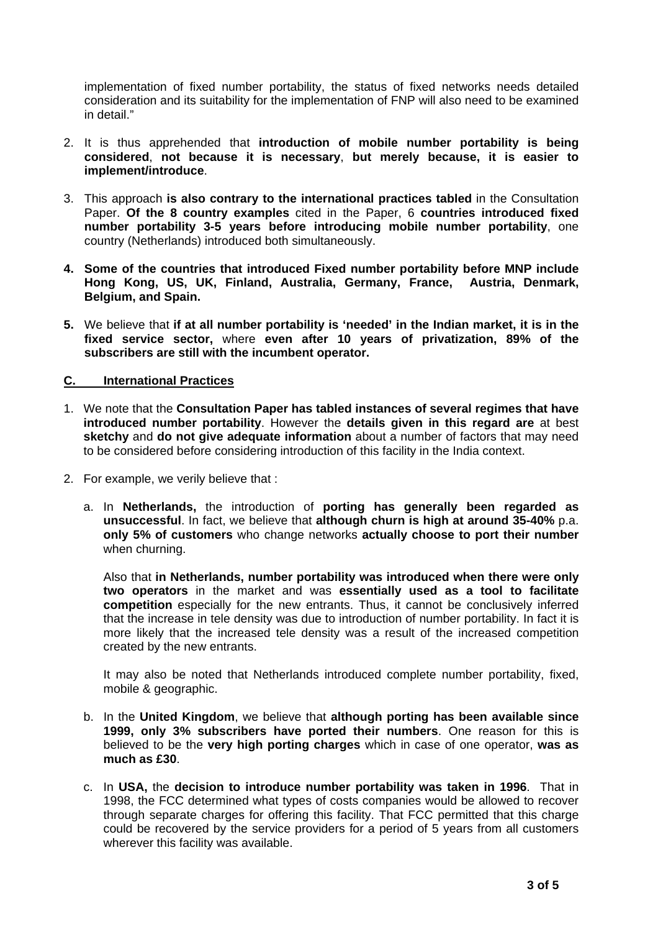implementation of fixed number portability, the status of fixed networks needs detailed consideration and its suitability for the implementation of FNP will also need to be examined in detail."

- 2. It is thus apprehended that **introduction of mobile number portability is being considered**, **not because it is necessary**, **but merely because, it is easier to implement/introduce**.
- 3. This approach **is also contrary to the international practices tabled** in the Consultation Paper. **Of the 8 country examples** cited in the Paper, 6 **countries introduced fixed number portability 3-5 years before introducing mobile number portability**, one country (Netherlands) introduced both simultaneously.
- **4. Some of the countries that introduced Fixed number portability before MNP include Hong Kong, US, UK, Finland, Australia, Germany, France, Austria, Denmark, Belgium, and Spain.**
- **5.** We believe that **if at all number portability is 'needed' in the Indian market, it is in the fixed service sector,** where **even after 10 years of privatization, 89% of the subscribers are still with the incumbent operator.**

## **C. International Practices**

- 1. We note that the **Consultation Paper has tabled instances of several regimes that have introduced number portability**. However the **details given in this regard are** at best **sketchy** and **do not give adequate information** about a number of factors that may need to be considered before considering introduction of this facility in the India context.
- 2. For example, we verily believe that :
	- a. In **Netherlands,** the introduction of **porting has generally been regarded as unsuccessful**. In fact, we believe that **although churn is high at around 35-40%** p.a. **only 5% of customers** who change networks **actually choose to port their number** when churning.

Also that **in Netherlands, number portability was introduced when there were only two operators** in the market and was **essentially used as a tool to facilitate competition** especially for the new entrants. Thus, it cannot be conclusively inferred that the increase in tele density was due to introduction of number portability. In fact it is more likely that the increased tele density was a result of the increased competition created by the new entrants.

It may also be noted that Netherlands introduced complete number portability, fixed, mobile & geographic.

- b. In the **United Kingdom**, we believe that **although porting has been available since 1999, only 3% subscribers have ported their numbers**. One reason for this is believed to be the **very high porting charges** which in case of one operator, **was as much as £30**.
- c. In **USA,** the **decision to introduce number portability was taken in 1996**. That in 1998, the FCC determined what types of costs companies would be allowed to recover through separate charges for offering this facility. That FCC permitted that this charge could be recovered by the service providers for a period of 5 years from all customers wherever this facility was available.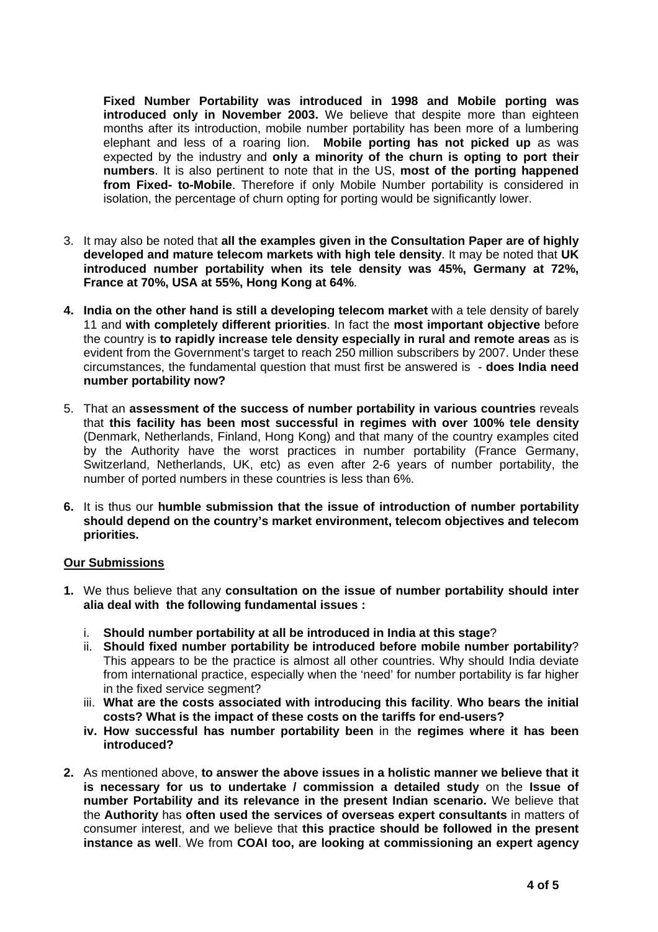**Fixed Number Portability was introduced in 1998 and Mobile porting was introduced only in November 2003.** We believe that despite more than eighteen months after its introduction, mobile number portability has been more of a lumbering elephant and less of a roaring lion. **Mobile porting has not picked up** as was expected by the industry and **only a minority of the churn is opting to port their numbers**. It is also pertinent to note that in the US, **most of the porting happened from Fixed- to-Mobile**. Therefore if only Mobile Number portability is considered in isolation, the percentage of churn opting for porting would be significantly lower.

- 3. It may also be noted that **all the examples given in the Consultation Paper are of highly developed and mature telecom markets with high tele density**. It may be noted that **UK introduced number portability when its tele density was 45%, Germany at 72%, France at 70%, USA at 55%, Hong Kong at 64%**.
- **4. India on the other hand is still a developing telecom market** with a tele density of barely 11 and **with completely different priorities**. In fact the **most important objective** before the country is **to rapidly increase tele density especially in rural and remote areas** as is evident from the Government's target to reach 250 million subscribers by 2007. Under these circumstances, the fundamental question that must first be answered is - **does India need number portability now?**
- 5. That an **assessment of the success of number portability in various countries** reveals that **this facility has been most successful in regimes with over 100% tele density** (Denmark, Netherlands, Finland, Hong Kong) and that many of the country examples cited by the Authority have the worst practices in number portability (France Germany, Switzerland, Netherlands, UK, etc) as even after 2-6 years of number portability, the number of ported numbers in these countries is less than 6%.
- **6.** It is thus our **humble submission that the issue of introduction of number portability should depend on the country's market environment, telecom objectives and telecom priorities.**

### **Our Submissions**

- **1.** We thus believe that any **consultation on the issue of number portability should inter alia deal with the following fundamental issues :** 
	- i. **Should number portability at all be introduced in India at this stage**?
	- ii. **Should fixed number portability be introduced before mobile number portability**? This appears to be the practice is almost all other countries. Why should India deviate from international practice, especially when the 'need' for number portability is far higher in the fixed service segment?
	- iii. **What are the costs associated with introducing this facility**. **Who bears the initial costs? What is the impact of these costs on the tariffs for end-users?**
	- **iv. How successful has number portability been** in the **regimes where it has been introduced?**
- **2.** As mentioned above, **to answer the above issues in a holistic manner we believe that it is necessary for us to undertake / commission a detailed study** on the **Issue of number Portability and its relevance in the present Indian scenario.** We believe that the **Authority** has **often used the services of overseas expert consultants** in matters of consumer interest, and we believe that **this practice should be followed in the present instance as well**. We from **COAI too, are looking at commissioning an expert agency**